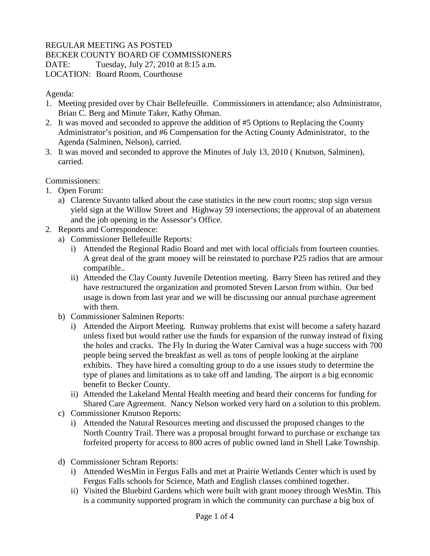## REGULAR MEETING AS POSTED

BECKER COUNTY BOARD OF COMMISSIONERS

DATE: Tuesday, July 27, 2010 at 8:15 a.m.

LOCATION: Board Room, Courthouse

Agenda:

- 1. Meeting presided over by Chair Bellefeuille. Commissioners in attendance; also Administrator, Brian C. Berg and Minute Taker, Kathy Ohman.
- 2. It was moved and seconded to approve the addition of #5 Options to Replacing the County Administrator's position, and #6 Compensation for the Acting County Administrator, to the Agenda (Salminen, Nelson), carried.
- 3. It was moved and seconded to approve the Minutes of July 13, 2010 ( Knutson, Salminen), carried.

Commissioners:

- 1. Open Forum:
	- a) Clarence Suvanto talked about the case statistics in the new court rooms; stop sign versus yield sign at the Willow Street and Highway 59 intersections; the approval of an abatement and the job opening in the Assessor's Office.
- 2. Reports and Correspondence:
	- a) Commissioner Bellefeuille Reports:
		- i) Attended the Regional Radio Board and met with local officials from fourteen counties. A great deal of the grant money will be reinstated to purchase P25 radios that are armour compatible..
		- ii) Attended the Clay County Juvenile Detention meeting. Barry Steen has retired and they have restructured the organization and promoted Steven Larson from within. Our bed usage is down from last year and we will be discussing our annual purchase agreement with them.
	- b) Commissioner Salminen Reports:
		- i) Attended the Airport Meeting. Runway problems that exist will become a safety hazard unless fixed but would rather use the funds for expansion of the runway instead of fixing the holes and cracks. The Fly In during the Water Carnival was a huge success with 700 people being served the breakfast as well as tons of people looking at the airplane exhibits. They have hired a consulting group to do a use issues study to determine the type of planes and limitations as to take off and landing. The airport is a big economic benefit to Becker County.
		- ii) Attended the Lakeland Mental Health meeting and heard their concerns for funding for Shared Care Agreement. Nancy Nelson worked very hard on a solution to this problem.
	- c) Commissioner Knutson Reports:
		- i) Attended the Natural Resources meeting and discussed the proposed changes to the North Country Trail. There was a proposal brought forward to purchase or exchange tax forfeited property for access to 800 acres of public owned land in Shell Lake Township.
	- d) Commissioner Schram Reports:
		- i) Attended WesMin in Fergus Falls and met at Prairie Wetlands Center which is used by Fergus Falls schools for Science, Math and English classes combined together.
		- ii) Visited the Bluebird Gardens which were built with grant money through WesMin. This is a community supported program in which the community can purchase a big box of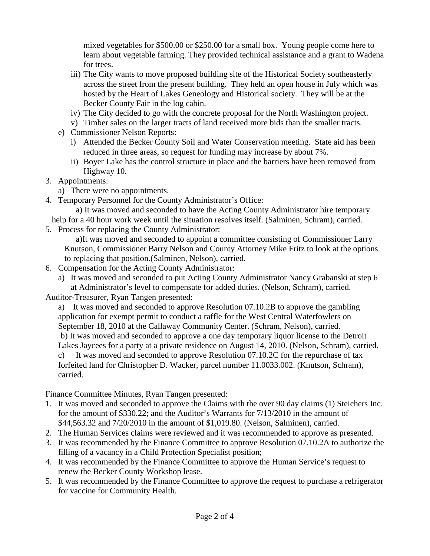mixed vegetables for \$500.00 or \$250.00 for a small box. Young people come here to learn about vegetable farming. They provided technical assistance and a grant to Wadena for trees.

- iii) The City wants to move proposed building site of the Historical Society southeasterly across the street from the present building. They held an open house in July which was hosted by the Heart of Lakes Geneology and Historical society. They will be at the Becker County Fair in the log cabin.
- iv) The City decided to go with the concrete proposal for the North Washington project.
- v) Timber sales on the larger tracts of land received more bids than the smaller tracts.
- e) Commissioner Nelson Reports:
	- i) Attended the Becker County Soil and Water Conservation meeting. State aid has been reduced in three areas, so request for funding may increase by about 7%.
	- ii) Boyer Lake has the control structure in place and the barriers have been removed from Highway 10.
- 3. Appointments:
	- a) There were no appointments.
- 4. Temporary Personnel for the County Administrator's Office:

 a) It was moved and seconded to have the Acting County Administrator hire temporary help for a 40 hour work week until the situation resolves itself. (Salminen, Schram), carried.

5. Process for replacing the County Administrator:

 a)It was moved and seconded to appoint a committee consisting of Commissioner Larry Knutson, Commissioner Barry Nelson and County Attorney Mike Fritz to look at the options to replacing that position.(Salminen, Nelson), carried.

- 6. Compensation for the Acting County Administrator:
	- a) It was moved and seconded to put Acting County Administrator Nancy Grabanski at step 6 at Administrator's level to compensate for added duties. (Nelson, Schram), carried.
- Auditor-Treasurer, Ryan Tangen presented:

a) It was moved and seconded to approve Resolution 07.10.2B to approve the gambling application for exempt permit to conduct a raffle for the West Central Waterfowlers on September 18, 2010 at the Callaway Community Center. (Schram, Nelson), carried. b) It was moved and seconded to approve a one day temporary liquor license to the Detroit Lakes Jaycees for a party at a private residence on August 14, 2010. (Nelson, Schram), carried. It was moved and seconded to approve Resolution  $07.10.2C$  for the repurchase of tax forfeited land for Christopher D. Wacker, parcel number 11.0033.002. (Knutson, Schram), carried.

Finance Committee Minutes, Ryan Tangen presented:

- 1. It was moved and seconded to approve the Claims with the over 90 day claims (1) Steichers Inc. for the amount of \$330.22; and the Auditor's Warrants for 7/13/2010 in the amount of \$44,563.32 and 7/20/2010 in the amount of \$1,019.80. (Nelson, Salminen), carried.
- 2. The Human Services claims were reviewed and it was recommended to approve as presented.
- 3. It was recommended by the Finance Committee to approve Resolution 07.10.2A to authorize the filling of a vacancy in a Child Protection Specialist position;
- 4. It was recommended by the Finance Committee to approve the Human Service's request to renew the Becker County Workshop lease.
- 5. It was recommended by the Finance Committee to approve the request to purchase a refrigerator for vaccine for Community Health.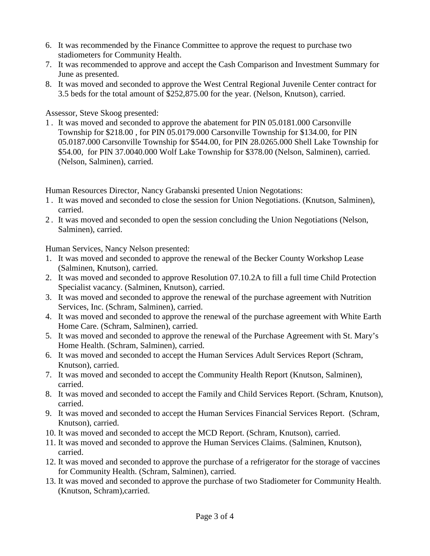- 6. It was recommended by the Finance Committee to approve the request to purchase two stadiometers for Community Health.
- 7. It was recommended to approve and accept the Cash Comparison and Investment Summary for June as presented.
- 8. It was moved and seconded to approve the West Central Regional Juvenile Center contract for 3.5 beds for the total amount of \$252,875.00 for the year. (Nelson, Knutson), carried.

Assessor, Steve Skoog presented:

1 . It was moved and seconded to approve the abatement for PIN 05.0181.000 Carsonville Township for \$218.00 , for PIN 05.0179.000 Carsonville Township for \$134.00, for PIN 05.0187.000 Carsonville Township for \$544.00, for PIN 28.0265.000 Shell Lake Township for \$54.00, for PIN 37.0040.000 Wolf Lake Township for \$378.00 (Nelson, Salminen), carried. (Nelson, Salminen), carried.

Human Resources Director, Nancy Grabanski presented Union Negotations:

- 1 . It was moved and seconded to close the session for Union Negotiations. (Knutson, Salminen), carried.
- 2 . It was moved and seconded to open the session concluding the Union Negotiations (Nelson, Salminen), carried.

Human Services, Nancy Nelson presented:

- 1. It was moved and seconded to approve the renewal of the Becker County Workshop Lease (Salminen, Knutson), carried.
- 2. It was moved and seconded to approve Resolution 07.10.2A to fill a full time Child Protection Specialist vacancy. (Salminen, Knutson), carried.
- 3. It was moved and seconded to approve the renewal of the purchase agreement with Nutrition Services, Inc. (Schram, Salminen), carried.
- 4. It was moved and seconded to approve the renewal of the purchase agreement with White Earth Home Care. (Schram, Salminen), carried.
- 5. It was moved and seconded to approve the renewal of the Purchase Agreement with St. Mary's Home Health. (Schram, Salminen), carried.
- 6. It was moved and seconded to accept the Human Services Adult Services Report (Schram, Knutson), carried.
- 7. It was moved and seconded to accept the Community Health Report (Knutson, Salminen), carried.
- 8. It was moved and seconded to accept the Family and Child Services Report. (Schram, Knutson), carried.
- 9. It was moved and seconded to accept the Human Services Financial Services Report. (Schram, Knutson), carried.
- 10. It was moved and seconded to accept the MCD Report. (Schram, Knutson), carried.
- 11. It was moved and seconded to approve the Human Services Claims. (Salminen, Knutson), carried.
- 12. It was moved and seconded to approve the purchase of a refrigerator for the storage of vaccines for Community Health. (Schram, Salminen), carried.
- 13. It was moved and seconded to approve the purchase of two Stadiometer for Community Health. (Knutson, Schram),carried.